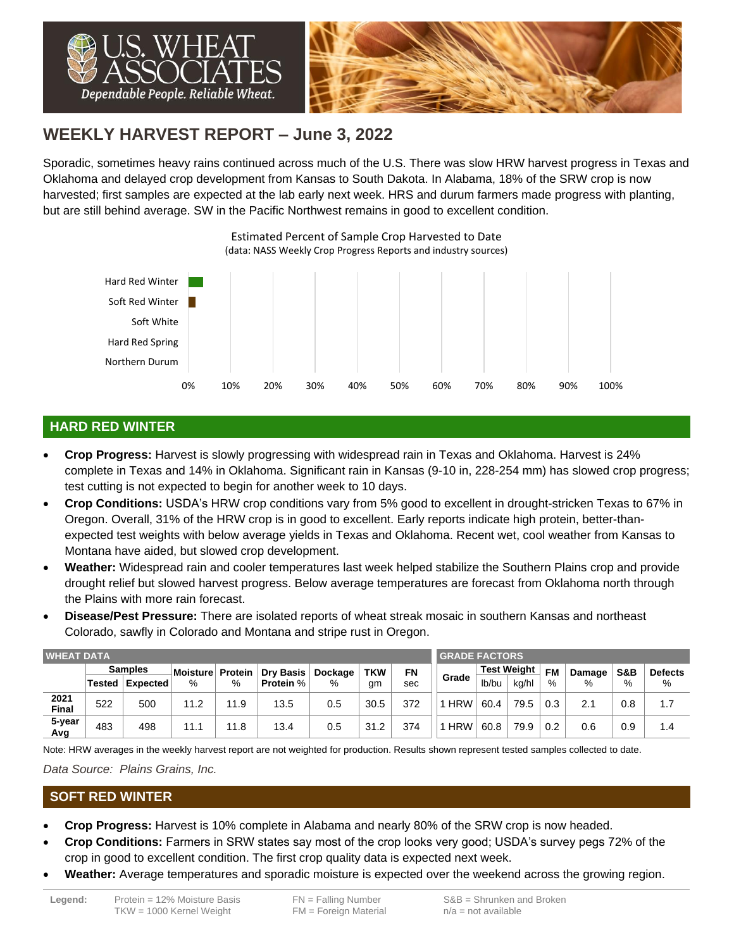

# **WEEKLY HARVEST REPORT – June 3, 2022**

Sporadic, sometimes heavy rains continued across much of the U.S. There was slow HRW harvest progress in Texas and Oklahoma and delayed crop development from Kansas to South Dakota. In Alabama, 18% of the SRW crop is now harvested; first samples are expected at the lab early next week. HRS and durum farmers made progress with planting, but are still behind average. SW in the Pacific Northwest remains in good to excellent condition.



## **HARD RED WINTER**

- **Crop Progress:** Harvest is slowly progressing with widespread rain in Texas and Oklahoma. Harvest is 24% complete in Texas and 14% in Oklahoma. Significant rain in Kansas (9-10 in, 228-254 mm) has slowed crop progress; test cutting is not expected to begin for another week to 10 days.
- **Crop Conditions:** USDA's HRW crop conditions vary from 5% good to excellent in drought-stricken Texas to 67% in Oregon. Overall, 31% of the HRW crop is in good to excellent. Early reports indicate high protein, better-thanexpected test weights with below average yields in Texas and Oklahoma. Recent wet, cool weather from Kansas to Montana have aided, but slowed crop development.
- **Weather:** Widespread rain and cooler temperatures last week helped stabilize the Southern Plains crop and provide drought relief but slowed harvest progress. Below average temperatures are forecast from Oklahoma north through the Plains with more rain forecast.
- **Disease/Pest Pressure:** There are isolated reports of wheat streak mosaic in southern Kansas and northeast Colorado, sawfly in Colorado and Montana and stripe rust in Oregon.

| <b>WHEAT DATA</b>    |                |          |          |         |                  |         |            |           |            | <b>GRADE FACTORS</b> |       |           |        |                |                |  |  |  |
|----------------------|----------------|----------|----------|---------|------------------|---------|------------|-----------|------------|----------------------|-------|-----------|--------|----------------|----------------|--|--|--|
|                      | <b>Samples</b> |          | Moisture | Protein | <b>Dry Basis</b> | Dockage | <b>TKW</b> | <b>FN</b> |            | <b>Test Weight</b>   |       | <b>FM</b> | Damage | <b>S&amp;B</b> | <b>Defects</b> |  |  |  |
|                      | Tested         | Expected | %        | %       | <b>Protein %</b> | %       | gm         | sec       | Grade      | lb/bu                | ka/hl | %         | %      | %              | %              |  |  |  |
| 2021<br><b>Final</b> | 522            | 500      | 11.2     | 11.9    | 13.5             | 0.5     | 30.5       | 372       | <b>HRW</b> | 60.4                 | 79.5  | 0.3       | 2.1    | 0.8            | 1.7            |  |  |  |
| 5-year<br>Avg        | 483            | 498      | 11.1     | 11.8    | 13.4             | 0.5     | 31.2       | 374       | $1$ HRW    | 60.8                 | 79.9  | 0.2       | 0.6    | 0.9            | 1.4            |  |  |  |

Note: HRW averages in the weekly harvest report are not weighted for production. Results shown represent tested samples collected to date.

*Data Source: Plains Grains, Inc.*

#### **SOFT RED WINTER**

- **Crop Progress:** Harvest is 10% complete in Alabama and nearly 80% of the SRW crop is now headed.
- **Crop Conditions:** Farmers in SRW states say most of the crop looks very good; USDA's survey pegs 72% of the crop in good to excellent condition. The first crop quality data is expected next week.
- **Weather:** Average temperatures and sporadic moisture is expected over the weekend across the growing region.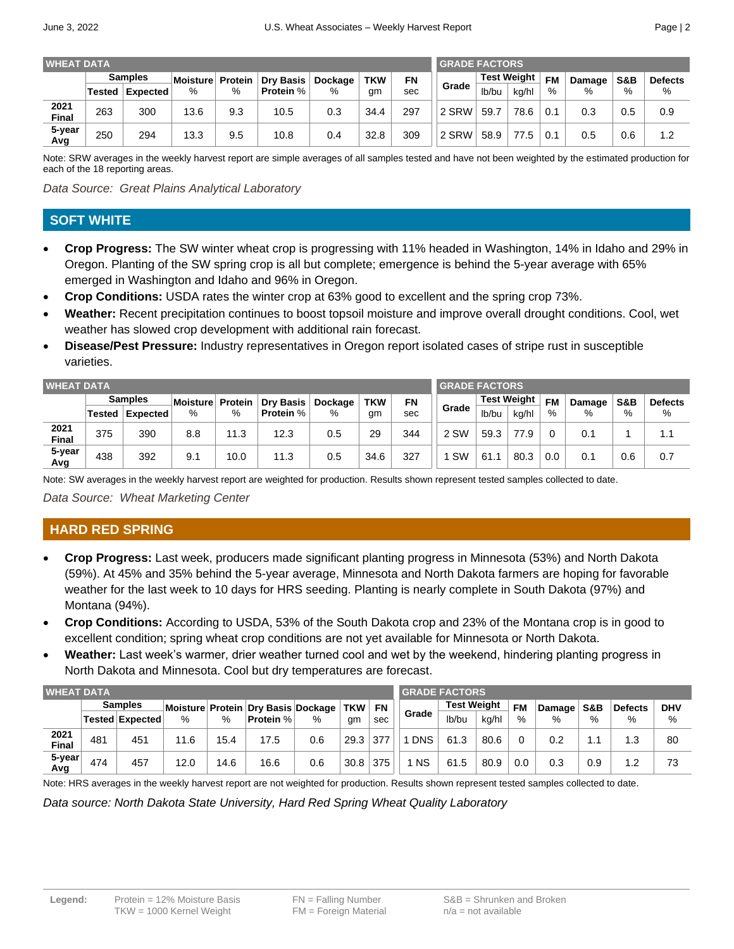|--|--|

| <b>WHEAT DATA</b>    |                |          |          |         |                  |         |            |           |       | <b>GRADE FACTORS</b> |       |           |        |     |                |  |  |  |
|----------------------|----------------|----------|----------|---------|------------------|---------|------------|-----------|-------|----------------------|-------|-----------|--------|-----|----------------|--|--|--|
|                      | <b>Samples</b> |          | Moisture | Protein | <b>Dry Basis</b> | Dockage | <b>TKW</b> | <b>FN</b> |       | <b>Test Weight</b>   |       | <b>FM</b> | Damage | S&B | <b>Defects</b> |  |  |  |
|                      | Tested l       | Expected | %        | %       | <b>Protein %</b> | %       | gm         | sec       | Grade | lb/bu                | ka/hl | %         | %      | %   | %              |  |  |  |
| 2021<br><b>Final</b> | 263            | 300      | 13.6     | 9.3     | 10.5             | 0.3     | 34.4       | 297       | 2 SRW | 59.7                 | 78.6  |           | 0.3    | 0.5 | 0.9            |  |  |  |
| 5-year<br>Avg        | 250            | 294      | 13.3     | 9.5     | 10.8             | 0.4     | 32.8       | 309       | 2 SRW | 58.9                 | 77.5  |           | 0.5    | 0.6 | 1.2            |  |  |  |

Note: SRW averages in the weekly harvest report are simple averages of all samples tested and have not been weighted by the estimated production for each of the 18 reporting areas.

*Data Source: Great Plains Analytical Laboratory*

### **SOFT WHITE**

- **Crop Progress:** The SW winter wheat crop is progressing with 11% headed in Washington, 14% in Idaho and 29% in Oregon. Planting of the SW spring crop is all but complete; emergence is behind the 5-year average with 65% emerged in Washington and Idaho and 96% in Oregon.
- **Crop Conditions:** USDA rates the winter crop at 63% good to excellent and the spring crop 73%.
- **Weather:** Recent precipitation continues to boost topsoil moisture and improve overall drought conditions. Cool, wet weather has slowed crop development with additional rain forecast.
- **Disease/Pest Pressure:** Industry representatives in Oregon report isolated cases of stripe rust in susceptible varieties.

| <b>WHEAT DATA</b> |                |          |                 |         |                  |         |            |           |           | <b>GRADE FACTORS</b> |                    |     |        |                |                |  |  |  |
|-------------------|----------------|----------|-----------------|---------|------------------|---------|------------|-----------|-----------|----------------------|--------------------|-----|--------|----------------|----------------|--|--|--|
|                   | <b>Samples</b> |          | <b>Moisture</b> | Protein | Dry Basis        | Dockage | <b>TKW</b> | <b>FN</b> |           |                      | <b>Test Weight</b> |     | Damage | <b>S&amp;B</b> | <b>Defects</b> |  |  |  |
|                   | Tested l       | Expected | %               | %       | <b>Protein %</b> | %       | gm         | sec       | Grade     | lb/bu                | ka/hl              | %   | %      | %              | %              |  |  |  |
| 2021<br>Final     | 375            | 390      | 8.8             | 11.3    | 12.3             | 0.5     | 29         | 344       | 2 SW      | 59.3                 | 77.9               |     | 0.1    |                | 1.1            |  |  |  |
| 5-year<br>Avg     | 438            | 392      | 9.1             | 10.0    | 11.3             | 0.5     | 34.6       | 327       | <b>SW</b> | 61.1                 | 80.3               | 0.0 | 0.1    | 0.6            | 0.7            |  |  |  |

Note: SW averages in the weekly harvest report are weighted for production. Results shown represent tested samples collected to date.

*Data Source: Wheat Marketing Center*

## **HARD RED SPRING**

- **Crop Progress:** Last week, producers made significant planting progress in Minnesota (53%) and North Dakota (59%). At 45% and 35% behind the 5-year average, Minnesota and North Dakota farmers are hoping for favorable weather for the last week to 10 days for HRS seeding. Planting is nearly complete in South Dakota (97%) and Montana (94%).
- **Crop Conditions:** According to USDA, 53% of the South Dakota crop and 23% of the Montana crop is in good to excellent condition; spring wheat crop conditions are not yet available for Minnesota or North Dakota.
- **Weather:** Last week's warmer, drier weather turned cool and wet by the weekend, hindering planting progress in North Dakota and Minnesota. Cool but dry temperatures are forecast.

| <b>WHEAT DATA</b>    |                |                        |                                    |      |                  |     |            |           |            | <b>GRADE FACTORS</b> |       |      |        |      |                |            |  |  |
|----------------------|----------------|------------------------|------------------------------------|------|------------------|-----|------------|-----------|------------|----------------------|-------|------|--------|------|----------------|------------|--|--|
|                      | <b>Samples</b> |                        | Moisture Protein Dry Basis Dockage |      |                  |     | <b>TKW</b> | <b>FN</b> |            | <b>Test Weight</b>   |       | FM   | Damage | S&B  | <b>Defects</b> | <b>DHV</b> |  |  |
|                      |                | <b>Tested Expected</b> | %                                  | %    | <b>Protein %</b> | %   | gm         | sec       | Grade      | lb/bu                | kg/hl | $\%$ | $\%$   | $\%$ | %              | %          |  |  |
| 2021<br><b>Final</b> | 481            | 451                    | 11.6                               | 15.4 | 17.5             | 0.6 | 29.3       | 377       | <b>DNS</b> | 61.3                 | 80.6  |      | 0.2    |      | 1.3            | 80         |  |  |
| 5-year<br>Avg        | 474            | 457                    | 12.0                               | 14.6 | 16.6             | 0.6 | 30.8       | 375       | <b>NS</b>  | 61.5                 | 80.9  | 0.0  | 0.3    | 0.9  | 1.2            | 73         |  |  |

Note: HRS averages in the weekly harvest report are not weighted for production. Results shown represent tested samples collected to date.

*Data source: North Dakota State University, Hard Red Spring Wheat Quality Laboratory*